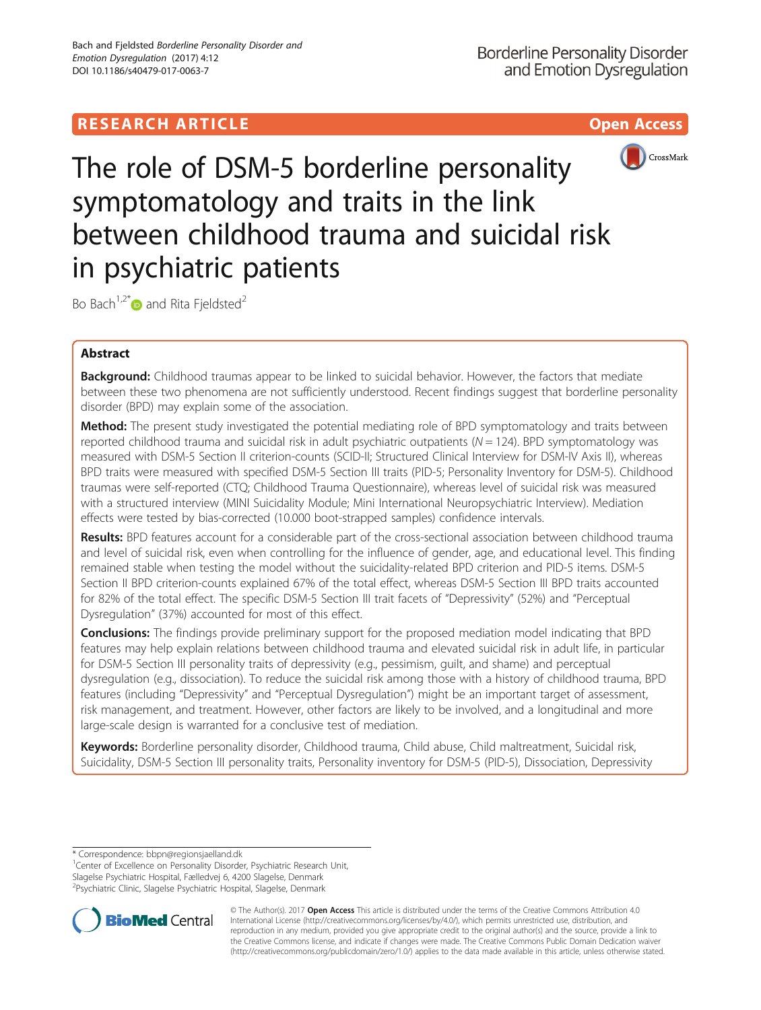# **RESEARCH ARTICLE Example 2018 12:30 THE OPEN ACCESS**



The role of DSM-5 borderline personality symptomatology and traits in the link between childhood trauma and suicidal risk in psychiatric patients

Bo Bach<sup>1,2[\\*](http://orcid.org/0000-0002-5744-1769)</sup> $\bullet$  and Rita Fieldsted<sup>2</sup>

# Abstract

Background: Childhood traumas appear to be linked to suicidal behavior. However, the factors that mediate between these two phenomena are not sufficiently understood. Recent findings suggest that borderline personality disorder (BPD) may explain some of the association.

**Method:** The present study investigated the potential mediating role of BPD symptomatology and traits between reported childhood trauma and suicidal risk in adult psychiatric outpatients ( $N = 124$ ). BPD symptomatology was measured with DSM-5 Section II criterion-counts (SCID-II; Structured Clinical Interview for DSM-IV Axis II), whereas BPD traits were measured with specified DSM-5 Section III traits (PID-5; Personality Inventory for DSM-5). Childhood traumas were self-reported (CTQ; Childhood Trauma Questionnaire), whereas level of suicidal risk was measured with a structured interview (MINI Suicidality Module; Mini International Neuropsychiatric Interview). Mediation effects were tested by bias-corrected (10.000 boot-strapped samples) confidence intervals.

Results: BPD features account for a considerable part of the cross-sectional association between childhood trauma and level of suicidal risk, even when controlling for the influence of gender, age, and educational level. This finding remained stable when testing the model without the suicidality-related BPD criterion and PID-5 items. DSM-5 Section II BPD criterion-counts explained 67% of the total effect, whereas DSM-5 Section III BPD traits accounted for 82% of the total effect. The specific DSM-5 Section III trait facets of "Depressivity" (52%) and "Perceptual Dysregulation" (37%) accounted for most of this effect.

**Conclusions:** The findings provide preliminary support for the proposed mediation model indicating that BPD features may help explain relations between childhood trauma and elevated suicidal risk in adult life, in particular for DSM-5 Section III personality traits of depressivity (e.g., pessimism, guilt, and shame) and perceptual dysregulation (e.g., dissociation). To reduce the suicidal risk among those with a history of childhood trauma, BPD features (including "Depressivity" and "Perceptual Dysregulation") might be an important target of assessment, risk management, and treatment. However, other factors are likely to be involved, and a longitudinal and more large-scale design is warranted for a conclusive test of mediation.

Keywords: Borderline personality disorder, Childhood trauma, Child abuse, Child maltreatment, Suicidal risk, Suicidality, DSM-5 Section III personality traits, Personality inventory for DSM-5 (PID-5), Dissociation, Depressivity

\* Correspondence: [bbpn@regionsjaelland.dk](mailto:bbpn@regionsjaelland.dk) <sup>1</sup>

<sup>1</sup> Center of Excellence on Personality Disorder, Psychiatric Research Unit, Slagelse Psychiatric Hospital, Fælledvej 6, 4200 Slagelse, Denmark 2 Psychiatric Clinic, Slagelse Psychiatric Hospital, Slagelse, Denmark



© The Author(s). 2017 **Open Access** This article is distributed under the terms of the Creative Commons Attribution 4.0 International License [\(http://creativecommons.org/licenses/by/4.0/](http://creativecommons.org/licenses/by/4.0/)), which permits unrestricted use, distribution, and reproduction in any medium, provided you give appropriate credit to the original author(s) and the source, provide a link to the Creative Commons license, and indicate if changes were made. The Creative Commons Public Domain Dedication waiver [\(http://creativecommons.org/publicdomain/zero/1.0/](http://creativecommons.org/publicdomain/zero/1.0/)) applies to the data made available in this article, unless otherwise stated.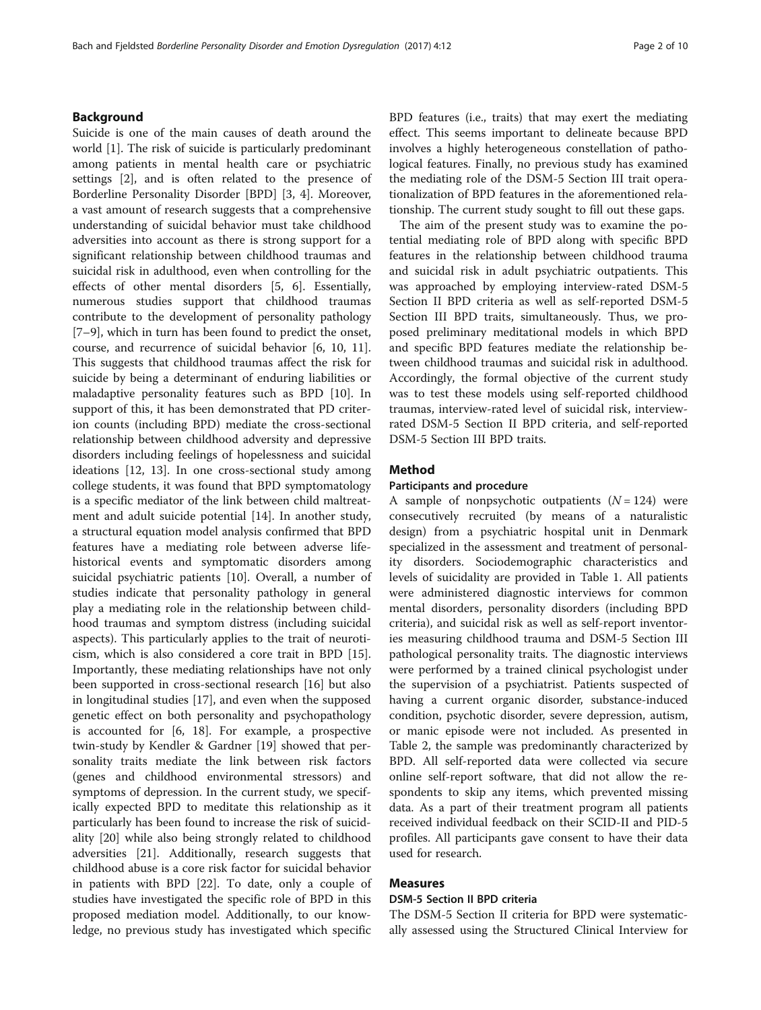# Background

Suicide is one of the main causes of death around the world [\[1](#page-8-0)]. The risk of suicide is particularly predominant among patients in mental health care or psychiatric settings [[2\]](#page-8-0), and is often related to the presence of Borderline Personality Disorder [BPD] [[3, 4\]](#page-8-0). Moreover, a vast amount of research suggests that a comprehensive understanding of suicidal behavior must take childhood adversities into account as there is strong support for a significant relationship between childhood traumas and suicidal risk in adulthood, even when controlling for the effects of other mental disorders [\[5, 6\]](#page-8-0). Essentially, numerous studies support that childhood traumas contribute to the development of personality pathology [[7](#page-8-0)–[9\]](#page-8-0), which in turn has been found to predict the onset, course, and recurrence of suicidal behavior [[6, 10, 11](#page-8-0)]. This suggests that childhood traumas affect the risk for suicide by being a determinant of enduring liabilities or maladaptive personality features such as BPD [[10](#page-8-0)]. In support of this, it has been demonstrated that PD criterion counts (including BPD) mediate the cross-sectional relationship between childhood adversity and depressive disorders including feelings of hopelessness and suicidal ideations [\[12](#page-8-0), [13\]](#page-8-0). In one cross-sectional study among college students, it was found that BPD symptomatology is a specific mediator of the link between child maltreatment and adult suicide potential [[14\]](#page-8-0). In another study, a structural equation model analysis confirmed that BPD features have a mediating role between adverse lifehistorical events and symptomatic disorders among suicidal psychiatric patients [[10](#page-8-0)]. Overall, a number of studies indicate that personality pathology in general play a mediating role in the relationship between childhood traumas and symptom distress (including suicidal aspects). This particularly applies to the trait of neuroticism, which is also considered a core trait in BPD [\[15](#page-8-0)]. Importantly, these mediating relationships have not only been supported in cross-sectional research [[16\]](#page-8-0) but also in longitudinal studies [[17\]](#page-8-0), and even when the supposed genetic effect on both personality and psychopathology is accounted for [[6](#page-8-0), [18](#page-8-0)]. For example, a prospective twin-study by Kendler & Gardner [[19\]](#page-8-0) showed that personality traits mediate the link between risk factors (genes and childhood environmental stressors) and symptoms of depression. In the current study, we specifically expected BPD to meditate this relationship as it particularly has been found to increase the risk of suicidality [[20\]](#page-8-0) while also being strongly related to childhood adversities [[21\]](#page-8-0). Additionally, research suggests that childhood abuse is a core risk factor for suicidal behavior in patients with BPD [[22\]](#page-8-0). To date, only a couple of studies have investigated the specific role of BPD in this proposed mediation model. Additionally, to our knowledge, no previous study has investigated which specific

BPD features (i.e., traits) that may exert the mediating effect. This seems important to delineate because BPD involves a highly heterogeneous constellation of pathological features. Finally, no previous study has examined the mediating role of the DSM-5 Section III trait operationalization of BPD features in the aforementioned relationship. The current study sought to fill out these gaps.

The aim of the present study was to examine the potential mediating role of BPD along with specific BPD features in the relationship between childhood trauma and suicidal risk in adult psychiatric outpatients. This was approached by employing interview-rated DSM-5 Section II BPD criteria as well as self-reported DSM-5 Section III BPD traits, simultaneously. Thus, we proposed preliminary meditational models in which BPD and specific BPD features mediate the relationship between childhood traumas and suicidal risk in adulthood. Accordingly, the formal objective of the current study was to test these models using self-reported childhood traumas, interview-rated level of suicidal risk, interviewrated DSM-5 Section II BPD criteria, and self-reported DSM-5 Section III BPD traits.

# Method

#### Participants and procedure

A sample of nonpsychotic outpatients  $(N = 124)$  were consecutively recruited (by means of a naturalistic design) from a psychiatric hospital unit in Denmark specialized in the assessment and treatment of personality disorders. Sociodemographic characteristics and levels of suicidality are provided in Table [1.](#page-2-0) All patients were administered diagnostic interviews for common mental disorders, personality disorders (including BPD criteria), and suicidal risk as well as self-report inventories measuring childhood trauma and DSM-5 Section III pathological personality traits. The diagnostic interviews were performed by a trained clinical psychologist under the supervision of a psychiatrist. Patients suspected of having a current organic disorder, substance-induced condition, psychotic disorder, severe depression, autism, or manic episode were not included. As presented in Table [2](#page-2-0), the sample was predominantly characterized by BPD. All self-reported data were collected via secure online self-report software, that did not allow the respondents to skip any items, which prevented missing data. As a part of their treatment program all patients received individual feedback on their SCID-II and PID-5 profiles. All participants gave consent to have their data used for research.

# Measures

# DSM-5 Section II BPD criteria

The DSM-5 Section II criteria for BPD were systematically assessed using the Structured Clinical Interview for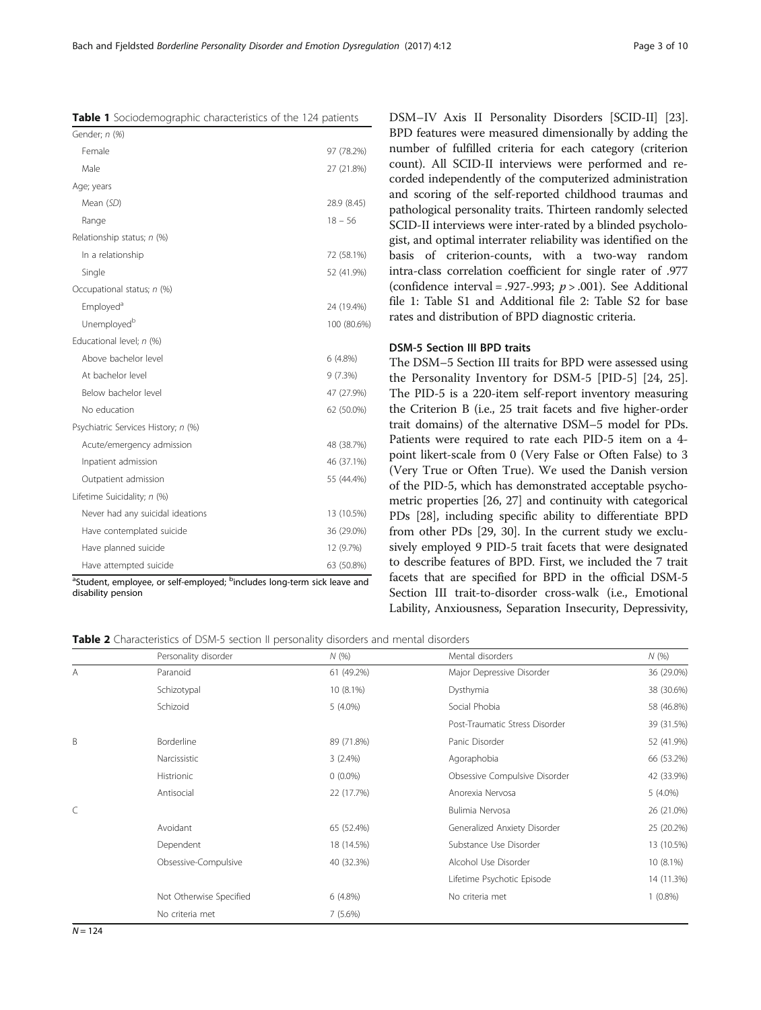<span id="page-2-0"></span>Bach and Fjeldsted Borderline Personality Disorder and Emotion Dysregulation (2017) 4:12 Page 3 of 10

Table 1 Sociodemographic characteristics of the 124 patients

| Female<br>97 (78.2%)<br>Male<br>27 (21.8%)<br>Age; years<br>Mean (SD)<br>28.9 (8.45)<br>$18 - 56$<br>Range<br>Relationship status; n (%)<br>In a relationship<br>72 (58.1%)<br>Single<br>52 (41.9%)<br>Occupational status; n (%)<br>Employed <sup>a</sup><br>24 (19.4%)<br>Unemployed <sup>b</sup><br>Educational level; n (%)<br>Above bachelor level<br>6 (4.8%)<br>At bachelor level<br>9(7.3%)<br>Below bachelor level<br>47 (27.9%)<br>No education<br>62 (50.0%)<br>Psychiatric Services History; n (%)<br>Acute/emergency admission<br>48 (38.7%)<br>Inpatient admission<br>46 (37.1%)<br>Outpatient admission<br>55 (44.4%)<br>Lifetime Suicidality; n (%)<br>Never had any suicidal ideations<br>13 (10.5%)<br>Have contemplated suicide<br>36 (29.0%)<br>Have planned suicide<br>12 (9.7%) | Gender; n (%) |             |
|-------------------------------------------------------------------------------------------------------------------------------------------------------------------------------------------------------------------------------------------------------------------------------------------------------------------------------------------------------------------------------------------------------------------------------------------------------------------------------------------------------------------------------------------------------------------------------------------------------------------------------------------------------------------------------------------------------------------------------------------------------------------------------------------------------|---------------|-------------|
|                                                                                                                                                                                                                                                                                                                                                                                                                                                                                                                                                                                                                                                                                                                                                                                                       |               |             |
|                                                                                                                                                                                                                                                                                                                                                                                                                                                                                                                                                                                                                                                                                                                                                                                                       |               |             |
|                                                                                                                                                                                                                                                                                                                                                                                                                                                                                                                                                                                                                                                                                                                                                                                                       |               |             |
|                                                                                                                                                                                                                                                                                                                                                                                                                                                                                                                                                                                                                                                                                                                                                                                                       |               |             |
|                                                                                                                                                                                                                                                                                                                                                                                                                                                                                                                                                                                                                                                                                                                                                                                                       |               |             |
|                                                                                                                                                                                                                                                                                                                                                                                                                                                                                                                                                                                                                                                                                                                                                                                                       |               |             |
|                                                                                                                                                                                                                                                                                                                                                                                                                                                                                                                                                                                                                                                                                                                                                                                                       |               |             |
|                                                                                                                                                                                                                                                                                                                                                                                                                                                                                                                                                                                                                                                                                                                                                                                                       |               |             |
|                                                                                                                                                                                                                                                                                                                                                                                                                                                                                                                                                                                                                                                                                                                                                                                                       |               |             |
|                                                                                                                                                                                                                                                                                                                                                                                                                                                                                                                                                                                                                                                                                                                                                                                                       |               |             |
|                                                                                                                                                                                                                                                                                                                                                                                                                                                                                                                                                                                                                                                                                                                                                                                                       |               | 100 (80.6%) |
|                                                                                                                                                                                                                                                                                                                                                                                                                                                                                                                                                                                                                                                                                                                                                                                                       |               |             |
|                                                                                                                                                                                                                                                                                                                                                                                                                                                                                                                                                                                                                                                                                                                                                                                                       |               |             |
|                                                                                                                                                                                                                                                                                                                                                                                                                                                                                                                                                                                                                                                                                                                                                                                                       |               |             |
|                                                                                                                                                                                                                                                                                                                                                                                                                                                                                                                                                                                                                                                                                                                                                                                                       |               |             |
|                                                                                                                                                                                                                                                                                                                                                                                                                                                                                                                                                                                                                                                                                                                                                                                                       |               |             |
|                                                                                                                                                                                                                                                                                                                                                                                                                                                                                                                                                                                                                                                                                                                                                                                                       |               |             |
|                                                                                                                                                                                                                                                                                                                                                                                                                                                                                                                                                                                                                                                                                                                                                                                                       |               |             |
|                                                                                                                                                                                                                                                                                                                                                                                                                                                                                                                                                                                                                                                                                                                                                                                                       |               |             |
|                                                                                                                                                                                                                                                                                                                                                                                                                                                                                                                                                                                                                                                                                                                                                                                                       |               |             |
|                                                                                                                                                                                                                                                                                                                                                                                                                                                                                                                                                                                                                                                                                                                                                                                                       |               |             |
|                                                                                                                                                                                                                                                                                                                                                                                                                                                                                                                                                                                                                                                                                                                                                                                                       |               |             |
|                                                                                                                                                                                                                                                                                                                                                                                                                                                                                                                                                                                                                                                                                                                                                                                                       |               |             |
|                                                                                                                                                                                                                                                                                                                                                                                                                                                                                                                                                                                                                                                                                                                                                                                                       |               |             |
| Have attempted suicide<br>63 (50.8%)                                                                                                                                                                                                                                                                                                                                                                                                                                                                                                                                                                                                                                                                                                                                                                  |               |             |

disability pension

DSM–IV Axis II Personality Disorders [SCID-II] [[23](#page-8-0)]. BPD features were measured dimensionally by adding the number of fulfilled criteria for each category (criterion count). All SCID-II interviews were performed and recorded independently of the computerized administration and scoring of the self-reported childhood traumas and pathological personality traits. Thirteen randomly selected SCID-II interviews were inter-rated by a blinded psychologist, and optimal interrater reliability was identified on the basis of criterion-counts, with a two-way random intra-class correlation coefficient for single rater of .977 (confidence interval = .927-.993;  $p > .001$ ). See Additional file [1:](#page-7-0) Table S1 and Additional file [2](#page-7-0): Table S2 for base rates and distribution of BPD diagnostic criteria.

# DSM-5 Section III BPD traits

The DSM–5 Section III traits for BPD were assessed using the Personality Inventory for DSM-5 [PID-5] [[24, 25](#page-8-0)]. The PID-5 is a 220-item self-report inventory measuring the Criterion B (i.e., 25 trait facets and five higher-order trait domains) of the alternative DSM–5 model for PDs. Patients were required to rate each PID-5 item on a 4 point likert-scale from 0 (Very False or Often False) to 3 (Very True or Often True). We used the Danish version of the PID-5, which has demonstrated acceptable psychometric properties [\[26, 27\]](#page-8-0) and continuity with categorical PDs [[28\]](#page-8-0), including specific ability to differentiate BPD from other PDs [[29](#page-8-0), [30\]](#page-8-0). In the current study we exclusively employed 9 PID-5 trait facets that were designated to describe features of BPD. First, we included the 7 trait facets that are specified for BPD in the official DSM-5 Section III trait-to-disorder cross-walk (i.e., Emotional Lability, Anxiousness, Separation Insecurity, Depressivity,

Table 2 Characteristics of DSM-5 section II personality disorders and mental disorders

|   | Personality disorder    | N(96)       | Mental disorders               | N(%        |  |
|---|-------------------------|-------------|--------------------------------|------------|--|
| A | Paranoid                | 61 (49.2%)  | Major Depressive Disorder      | 36 (29.0%) |  |
|   | Schizotypal             | $10(8.1\%)$ | Dysthymia                      | 38 (30.6%) |  |
|   | Schizoid                | $5(4.0\%)$  | Social Phobia                  | 58 (46.8%) |  |
|   |                         |             | Post-Traumatic Stress Disorder | 39 (31.5%) |  |
| B | Borderline              | 89 (71.8%)  | Panic Disorder                 | 52 (41.9%) |  |
|   | Narcissistic            | $3(2.4\%)$  | Agoraphobia                    | 66 (53.2%) |  |
|   | Histrionic              | $0(0.0\%)$  | Obsessive Compulsive Disorder  | 42 (33.9%) |  |
|   | Antisocial              | 22 (17.7%)  | Anorexia Nervosa               | $5(4.0\%)$ |  |
| C |                         |             | Bulimia Nervosa                | 26 (21.0%) |  |
|   | Avoidant                | 65 (52.4%)  | Generalized Anxiety Disorder   | 25 (20.2%) |  |
|   | Dependent               | 18 (14.5%)  | Substance Use Disorder         | 13 (10.5%) |  |
|   | Obsessive-Compulsive    | 40 (32.3%)  | Alcohol Use Disorder           | 10 (8.1%)  |  |
|   |                         |             | Lifetime Psychotic Episode     | 14 (11.3%) |  |
|   | Not Otherwise Specified | $6(4.8\%)$  | No criteria met                | $1(0.8\%)$ |  |
|   | No criteria met         | 7(5.6%)     |                                |            |  |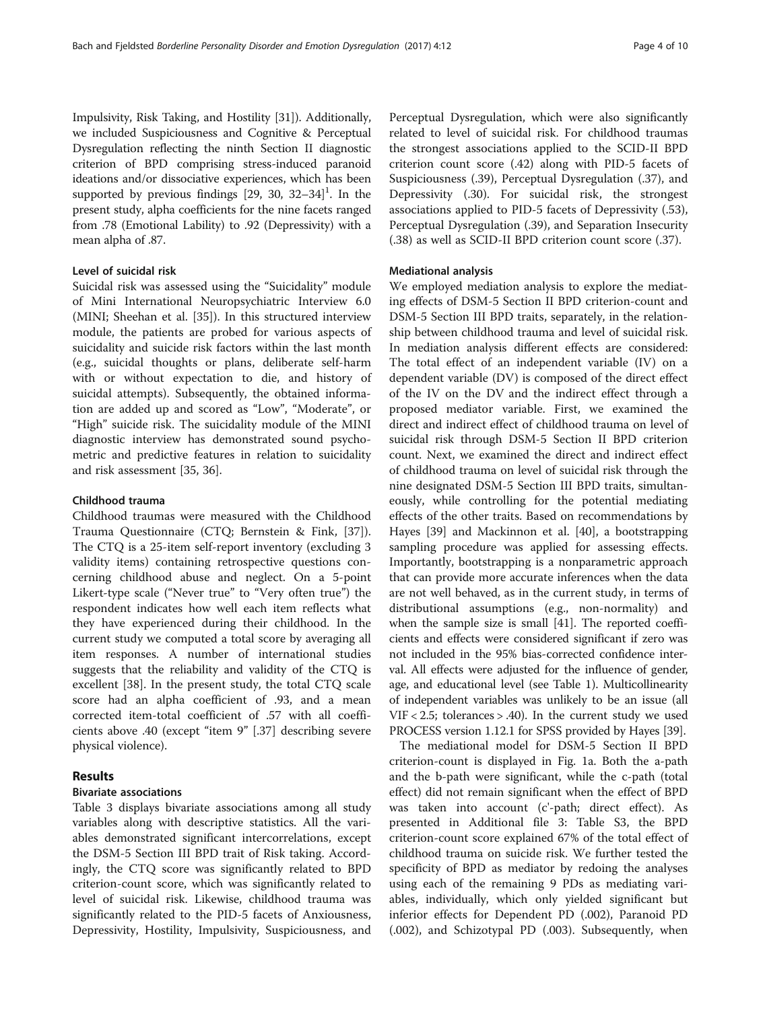Impulsivity, Risk Taking, and Hostility [\[31\]](#page-8-0)). Additionally, we included Suspiciousness and Cognitive & Perceptual Dysregulation reflecting the ninth Section II diagnostic criterion of BPD comprising stress-induced paranoid ideations and/or dissociative experiences, which has been supported by previous findings  $[29, 30, 32-34]$  $[29, 30, 32-34]$  $[29, 30, 32-34]$  $[29, 30, 32-34]$  $[29, 30, 32-34]$  $[29, 30, 32-34]$  $[29, 30, 32-34]$ <sup>1</sup>. In the present study, alpha coefficients for the nine facets ranged from .78 (Emotional Lability) to .92 (Depressivity) with a mean alpha of .87.

# Level of suicidal risk

Suicidal risk was assessed using the "Suicidality" module of Mini International Neuropsychiatric Interview 6.0 (MINI; Sheehan et al. [[35\]](#page-8-0)). In this structured interview module, the patients are probed for various aspects of suicidality and suicide risk factors within the last month (e.g., suicidal thoughts or plans, deliberate self-harm with or without expectation to die, and history of suicidal attempts). Subsequently, the obtained information are added up and scored as "Low", "Moderate", or "High" suicide risk. The suicidality module of the MINI diagnostic interview has demonstrated sound psychometric and predictive features in relation to suicidality and risk assessment [[35, 36\]](#page-8-0).

# Childhood trauma

Childhood traumas were measured with the Childhood Trauma Questionnaire (CTQ; Bernstein & Fink, [\[37](#page-8-0)]). The CTQ is a 25-item self-report inventory (excluding 3 validity items) containing retrospective questions concerning childhood abuse and neglect. On a 5-point Likert-type scale ("Never true" to "Very often true") the respondent indicates how well each item reflects what they have experienced during their childhood. In the current study we computed a total score by averaging all item responses. A number of international studies suggests that the reliability and validity of the CTQ is excellent [\[38](#page-8-0)]. In the present study, the total CTQ scale score had an alpha coefficient of .93, and a mean corrected item-total coefficient of .57 with all coefficients above .40 (except "item 9" [.37] describing severe physical violence).

#### Results

# Bivariate associations

Table [3](#page-4-0) displays bivariate associations among all study variables along with descriptive statistics. All the variables demonstrated significant intercorrelations, except the DSM-5 Section III BPD trait of Risk taking. Accordingly, the CTQ score was significantly related to BPD criterion-count score, which was significantly related to level of suicidal risk. Likewise, childhood trauma was significantly related to the PID-5 facets of Anxiousness, Depressivity, Hostility, Impulsivity, Suspiciousness, and Perceptual Dysregulation, which were also significantly related to level of suicidal risk. For childhood traumas the strongest associations applied to the SCID-II BPD criterion count score (.42) along with PID-5 facets of Suspiciousness (.39), Perceptual Dysregulation (.37), and Depressivity (.30). For suicidal risk, the strongest associations applied to PID-5 facets of Depressivity (.53), Perceptual Dysregulation (.39), and Separation Insecurity (.38) as well as SCID-II BPD criterion count score (.37).

#### Mediational analysis

We employed mediation analysis to explore the mediating effects of DSM-5 Section II BPD criterion-count and DSM-5 Section III BPD traits, separately, in the relationship between childhood trauma and level of suicidal risk. In mediation analysis different effects are considered: The total effect of an independent variable (IV) on a dependent variable (DV) is composed of the direct effect of the IV on the DV and the indirect effect through a proposed mediator variable. First, we examined the direct and indirect effect of childhood trauma on level of suicidal risk through DSM-5 Section II BPD criterion count. Next, we examined the direct and indirect effect of childhood trauma on level of suicidal risk through the nine designated DSM-5 Section III BPD traits, simultaneously, while controlling for the potential mediating effects of the other traits. Based on recommendations by Hayes [[39\]](#page-8-0) and Mackinnon et al. [\[40](#page-8-0)], a bootstrapping sampling procedure was applied for assessing effects. Importantly, bootstrapping is a nonparametric approach that can provide more accurate inferences when the data are not well behaved, as in the current study, in terms of distributional assumptions (e.g., non-normality) and when the sample size is small [\[41\]](#page-8-0). The reported coefficients and effects were considered significant if zero was not included in the 95% bias-corrected confidence interval. All effects were adjusted for the influence of gender, age, and educational level (see Table [1](#page-2-0)). Multicollinearity of independent variables was unlikely to be an issue (all VIF < 2.5; tolerances > .40). In the current study we used PROCESS version 1.12.1 for SPSS provided by Hayes [\[39\]](#page-8-0).

The mediational model for DSM-5 Section II BPD criterion-count is displayed in Fig. [1a.](#page-5-0) Both the a-path and the b-path were significant, while the c-path (total effect) did not remain significant when the effect of BPD was taken into account (c'-path; direct effect). As presented in Additional file [3:](#page-7-0) Table S3, the BPD criterion-count score explained 67% of the total effect of childhood trauma on suicide risk. We further tested the specificity of BPD as mediator by redoing the analyses using each of the remaining 9 PDs as mediating variables, individually, which only yielded significant but inferior effects for Dependent PD (.002), Paranoid PD (.002), and Schizotypal PD (.003). Subsequently, when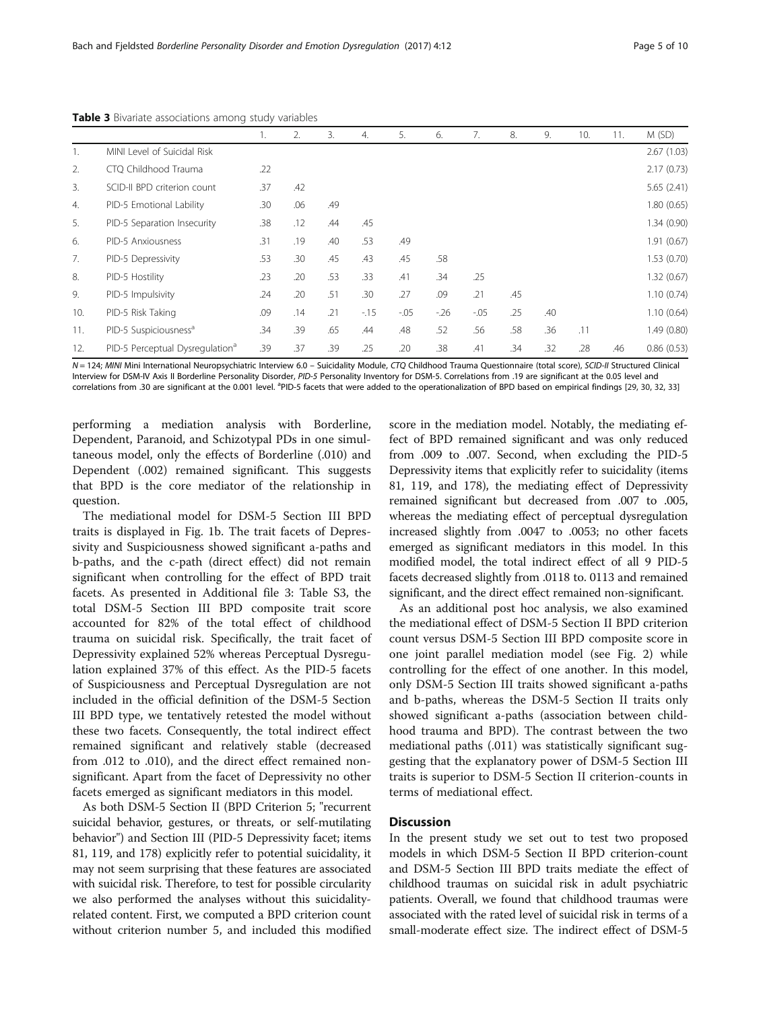|                  |                                             | Ι.  | 2.  | 3.  | 4.    | 5.      | 6.    | 7.      | 8.  | 9.  | 10. | 11. | M(SD)       |
|------------------|---------------------------------------------|-----|-----|-----|-------|---------|-------|---------|-----|-----|-----|-----|-------------|
|                  | MINI Level of Suicidal Risk                 |     |     |     |       |         |       |         |     |     |     |     | 2.67(1.03)  |
| 2.               | CTQ Childhood Trauma                        | .22 |     |     |       |         |       |         |     |     |     |     | 2.17(0.73)  |
| 3.               | SCID-II BPD criterion count                 | .37 | .42 |     |       |         |       |         |     |     |     |     | 5.65(2.41)  |
| $\overline{4}$ . | PID-5 Emotional Lability                    | .30 | .06 | .49 |       |         |       |         |     |     |     |     | 1.80(0.65)  |
| 5.               | PID-5 Separation Insecurity                 | .38 | .12 | .44 | .45   |         |       |         |     |     |     |     | 1.34 (0.90) |
| 6.               | PID-5 Anxiousness                           | .31 | .19 | .40 | .53   | .49     |       |         |     |     |     |     | 1.91(0.67)  |
| 7.               | PID-5 Depressivity                          | .53 | .30 | .45 | .43   | .45     | .58   |         |     |     |     |     | 1.53(0.70)  |
| 8.               | PID-5 Hostility                             | .23 | .20 | .53 | .33   | .41     | .34   | .25     |     |     |     |     | 1.32(0.67)  |
| 9.               | PID-5 Impulsivity                           | .24 | .20 | .51 | .30   | .27     | .09   | .21     | .45 |     |     |     | 1.10(0.74)  |
| 10.              | PID-5 Risk Taking                           | .09 | .14 | .21 | $-15$ | $-0.05$ | $-26$ | $-0.05$ | .25 | .40 |     |     | 1.10(0.64)  |
| 11.              | PID-5 Suspiciousness <sup>a</sup>           | .34 | .39 | .65 | .44   | .48     | .52   | .56     | .58 | .36 | .11 |     | 1.49(0.80)  |
| 12.              | PID-5 Perceptual Dysregulation <sup>a</sup> | .39 | .37 | .39 | .25   | .20     | .38   | .41     | .34 | .32 | .28 | .46 | 0.86(0.53)  |

<span id="page-4-0"></span>Table 3 Bivariate associations among study variables

N = 124; MINI Mini International Neuropsychiatric Interview 6.0 - Suicidality Module, CTQ Childhood Trauma Questionnaire (total score), SCID-II Structured Clinical Interview for DSM-IV Axis II Borderline Personality Disorder, PID-5 Personality Inventory for DSM-5. Correlations from .19 are significant at the 0.05 level and correlations from .30 are significant at the 0.001 level. <sup>a</sup>PID-5 facets that were added to the operationalization of BPD based on empirical findings [\[29](#page-8-0), [30,](#page-8-0) [32,](#page-8-0) [33](#page-8-0)]

performing a mediation analysis with Borderline, Dependent, Paranoid, and Schizotypal PDs in one simultaneous model, only the effects of Borderline (.010) and Dependent (.002) remained significant. This suggests that BPD is the core mediator of the relationship in question.

The mediational model for DSM-5 Section III BPD traits is displayed in Fig. [1b.](#page-5-0) The trait facets of Depressivity and Suspiciousness showed significant a-paths and b-paths, and the c-path (direct effect) did not remain significant when controlling for the effect of BPD trait facets. As presented in Additional file [3:](#page-7-0) Table S3, the total DSM-5 Section III BPD composite trait score accounted for 82% of the total effect of childhood trauma on suicidal risk. Specifically, the trait facet of Depressivity explained 52% whereas Perceptual Dysregulation explained 37% of this effect. As the PID-5 facets of Suspiciousness and Perceptual Dysregulation are not included in the official definition of the DSM-5 Section III BPD type, we tentatively retested the model without these two facets. Consequently, the total indirect effect remained significant and relatively stable (decreased from .012 to .010), and the direct effect remained nonsignificant. Apart from the facet of Depressivity no other facets emerged as significant mediators in this model.

As both DSM-5 Section II (BPD Criterion 5; "recurrent suicidal behavior, gestures, or threats, or self-mutilating behavior") and Section III (PID-5 Depressivity facet; items 81, 119, and 178) explicitly refer to potential suicidality, it may not seem surprising that these features are associated with suicidal risk. Therefore, to test for possible circularity we also performed the analyses without this suicidalityrelated content. First, we computed a BPD criterion count without criterion number 5, and included this modified

score in the mediation model. Notably, the mediating effect of BPD remained significant and was only reduced from .009 to .007. Second, when excluding the PID-5 Depressivity items that explicitly refer to suicidality (items 81, 119, and 178), the mediating effect of Depressivity remained significant but decreased from .007 to .005, whereas the mediating effect of perceptual dysregulation increased slightly from .0047 to .0053; no other facets emerged as significant mediators in this model. In this modified model, the total indirect effect of all 9 PID-5 facets decreased slightly from .0118 to. 0113 and remained significant, and the direct effect remained non-significant.

As an additional post hoc analysis, we also examined the mediational effect of DSM-5 Section II BPD criterion count versus DSM-5 Section III BPD composite score in one joint parallel mediation model (see Fig. [2](#page-6-0)) while controlling for the effect of one another. In this model, only DSM-5 Section III traits showed significant a-paths and b-paths, whereas the DSM-5 Section II traits only showed significant a-paths (association between childhood trauma and BPD). The contrast between the two mediational paths (.011) was statistically significant suggesting that the explanatory power of DSM-5 Section III traits is superior to DSM-5 Section II criterion-counts in terms of mediational effect.

# **Discussion**

In the present study we set out to test two proposed models in which DSM-5 Section II BPD criterion-count and DSM-5 Section III BPD traits mediate the effect of childhood traumas on suicidal risk in adult psychiatric patients. Overall, we found that childhood traumas were associated with the rated level of suicidal risk in terms of a small-moderate effect size. The indirect effect of DSM-5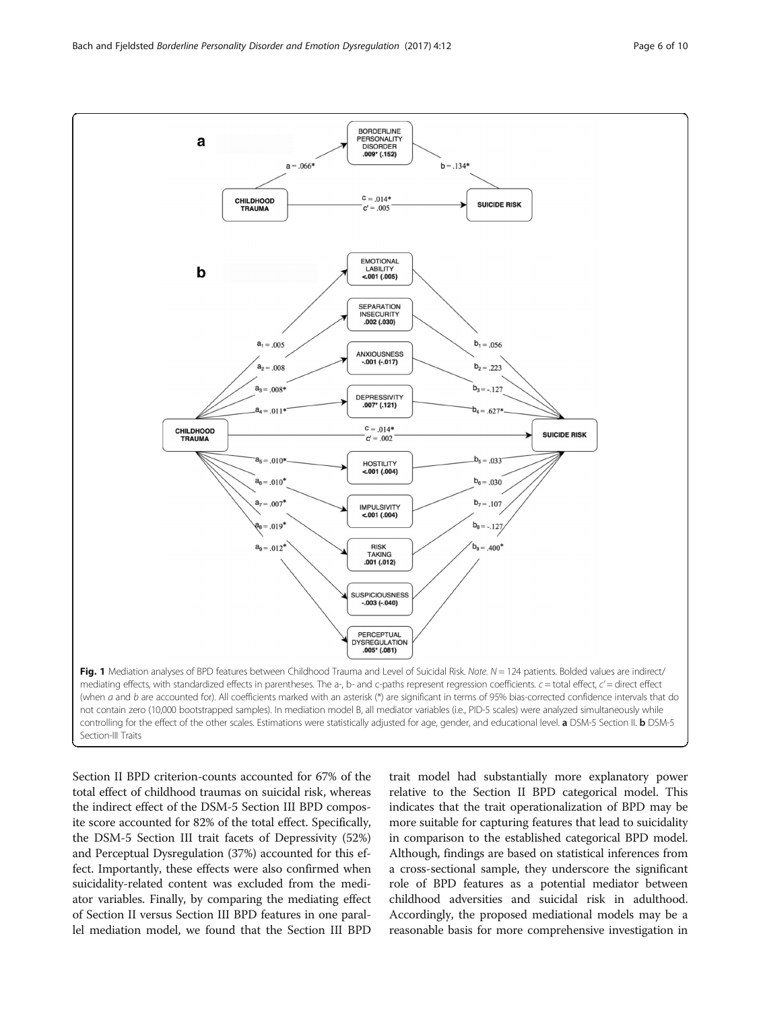<span id="page-5-0"></span>

Section II BPD criterion-counts accounted for 67% of the total effect of childhood traumas on suicidal risk, whereas the indirect effect of the DSM-5 Section III BPD composite score accounted for 82% of the total effect. Specifically, the DSM-5 Section III trait facets of Depressivity (52%) and Perceptual Dysregulation (37%) accounted for this effect. Importantly, these effects were also confirmed when suicidality-related content was excluded from the mediator variables. Finally, by comparing the mediating effect of Section II versus Section III BPD features in one parallel mediation model, we found that the Section III BPD trait model had substantially more explanatory power relative to the Section II BPD categorical model. This indicates that the trait operationalization of BPD may be more suitable for capturing features that lead to suicidality in comparison to the established categorical BPD model. Although, findings are based on statistical inferences from a cross-sectional sample, they underscore the significant role of BPD features as a potential mediator between childhood adversities and suicidal risk in adulthood. Accordingly, the proposed mediational models may be a reasonable basis for more comprehensive investigation in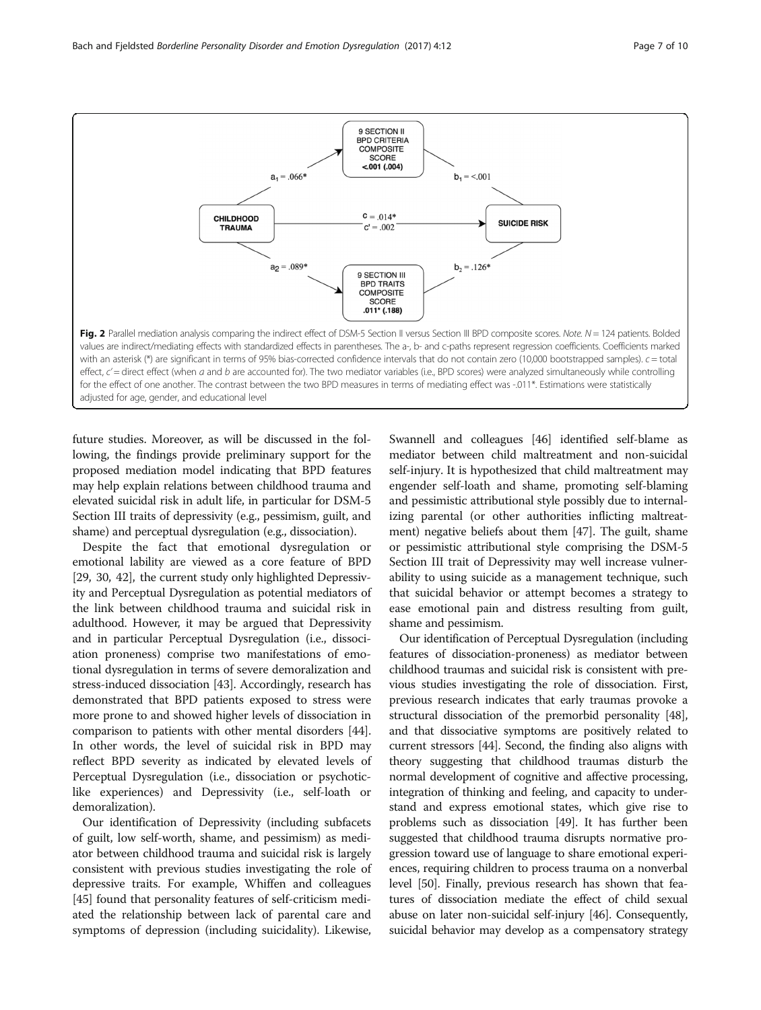<span id="page-6-0"></span>

future studies. Moreover, as will be discussed in the following, the findings provide preliminary support for the proposed mediation model indicating that BPD features may help explain relations between childhood trauma and elevated suicidal risk in adult life, in particular for DSM-5 Section III traits of depressivity (e.g., pessimism, guilt, and shame) and perceptual dysregulation (e.g., dissociation).

Despite the fact that emotional dysregulation or emotional lability are viewed as a core feature of BPD [[29](#page-8-0), [30,](#page-8-0) [42\]](#page-9-0), the current study only highlighted Depressivity and Perceptual Dysregulation as potential mediators of the link between childhood trauma and suicidal risk in adulthood. However, it may be argued that Depressivity and in particular Perceptual Dysregulation (i.e., dissociation proneness) comprise two manifestations of emotional dysregulation in terms of severe demoralization and stress-induced dissociation [\[43\]](#page-9-0). Accordingly, research has demonstrated that BPD patients exposed to stress were more prone to and showed higher levels of dissociation in comparison to patients with other mental disorders [[44](#page-9-0)]. In other words, the level of suicidal risk in BPD may reflect BPD severity as indicated by elevated levels of Perceptual Dysregulation (i.e., dissociation or psychoticlike experiences) and Depressivity (i.e., self-loath or demoralization).

Our identification of Depressivity (including subfacets of guilt, low self-worth, shame, and pessimism) as mediator between childhood trauma and suicidal risk is largely consistent with previous studies investigating the role of depressive traits. For example, Whiffen and colleagues [[45](#page-9-0)] found that personality features of self-criticism mediated the relationship between lack of parental care and symptoms of depression (including suicidality). Likewise,

Swannell and colleagues [\[46\]](#page-9-0) identified self-blame as mediator between child maltreatment and non-suicidal self-injury. It is hypothesized that child maltreatment may engender self-loath and shame, promoting self-blaming and pessimistic attributional style possibly due to internalizing parental (or other authorities inflicting maltreatment) negative beliefs about them [\[47\]](#page-9-0). The guilt, shame or pessimistic attributional style comprising the DSM-5 Section III trait of Depressivity may well increase vulnerability to using suicide as a management technique, such that suicidal behavior or attempt becomes a strategy to ease emotional pain and distress resulting from guilt, shame and pessimism.

Our identification of Perceptual Dysregulation (including features of dissociation-proneness) as mediator between childhood traumas and suicidal risk is consistent with previous studies investigating the role of dissociation. First, previous research indicates that early traumas provoke a structural dissociation of the premorbid personality [\[48](#page-9-0)], and that dissociative symptoms are positively related to current stressors [[44\]](#page-9-0). Second, the finding also aligns with theory suggesting that childhood traumas disturb the normal development of cognitive and affective processing, integration of thinking and feeling, and capacity to understand and express emotional states, which give rise to problems such as dissociation [[49](#page-9-0)]. It has further been suggested that childhood trauma disrupts normative progression toward use of language to share emotional experiences, requiring children to process trauma on a nonverbal level [\[50](#page-9-0)]. Finally, previous research has shown that features of dissociation mediate the effect of child sexual abuse on later non-suicidal self-injury [\[46\]](#page-9-0). Consequently, suicidal behavior may develop as a compensatory strategy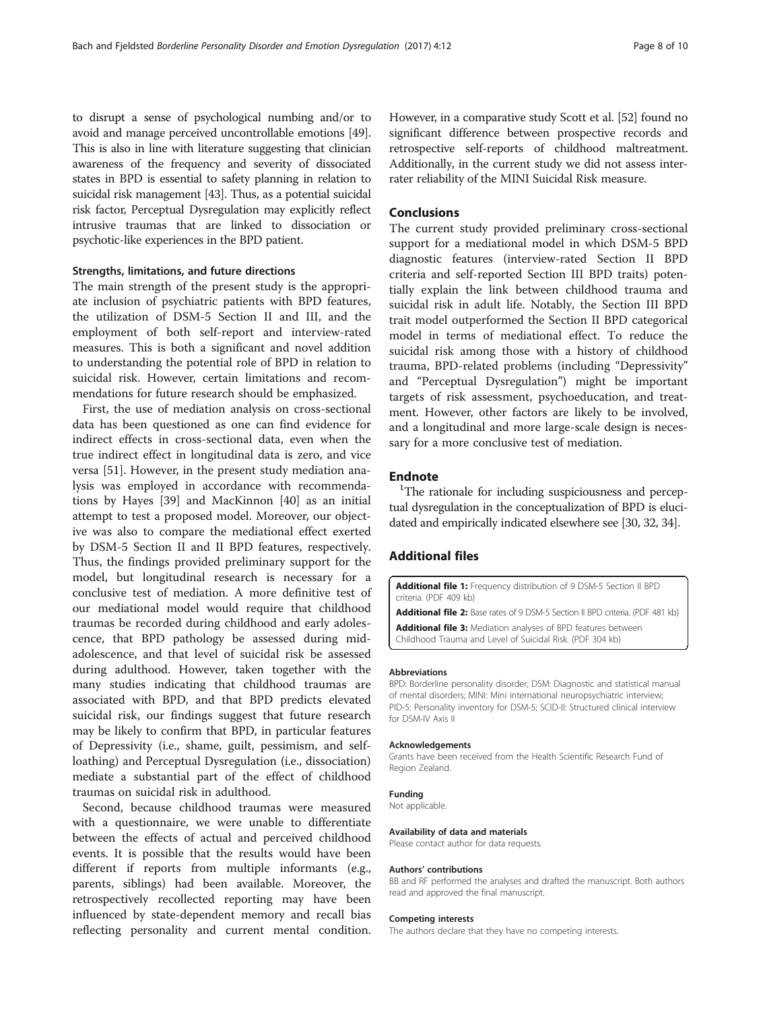<span id="page-7-0"></span>to disrupt a sense of psychological numbing and/or to avoid and manage perceived uncontrollable emotions [[49](#page-9-0)]. This is also in line with literature suggesting that clinician awareness of the frequency and severity of dissociated states in BPD is essential to safety planning in relation to suicidal risk management [\[43\]](#page-9-0). Thus, as a potential suicidal risk factor, Perceptual Dysregulation may explicitly reflect intrusive traumas that are linked to dissociation or psychotic-like experiences in the BPD patient.

#### Strengths, limitations, and future directions

The main strength of the present study is the appropriate inclusion of psychiatric patients with BPD features, the utilization of DSM-5 Section II and III, and the employment of both self-report and interview-rated measures. This is both a significant and novel addition to understanding the potential role of BPD in relation to suicidal risk. However, certain limitations and recommendations for future research should be emphasized.

First, the use of mediation analysis on cross-sectional data has been questioned as one can find evidence for indirect effects in cross-sectional data, even when the true indirect effect in longitudinal data is zero, and vice versa [[51\]](#page-9-0). However, in the present study mediation analysis was employed in accordance with recommendations by Hayes [\[39\]](#page-8-0) and MacKinnon [[40\]](#page-8-0) as an initial attempt to test a proposed model. Moreover, our objective was also to compare the mediational effect exerted by DSM-5 Section II and II BPD features, respectively. Thus, the findings provided preliminary support for the model, but longitudinal research is necessary for a conclusive test of mediation. A more definitive test of our mediational model would require that childhood traumas be recorded during childhood and early adolescence, that BPD pathology be assessed during midadolescence, and that level of suicidal risk be assessed during adulthood. However, taken together with the many studies indicating that childhood traumas are associated with BPD, and that BPD predicts elevated suicidal risk, our findings suggest that future research may be likely to confirm that BPD, in particular features of Depressivity (i.e., shame, guilt, pessimism, and selfloathing) and Perceptual Dysregulation (i.e., dissociation) mediate a substantial part of the effect of childhood traumas on suicidal risk in adulthood.

Second, because childhood traumas were measured with a questionnaire, we were unable to differentiate between the effects of actual and perceived childhood events. It is possible that the results would have been different if reports from multiple informants (e.g., parents, siblings) had been available. Moreover, the retrospectively recollected reporting may have been influenced by state-dependent memory and recall bias reflecting personality and current mental condition. However, in a comparative study Scott et al. [\[52](#page-9-0)] found no significant difference between prospective records and retrospective self-reports of childhood maltreatment. Additionally, in the current study we did not assess interrater reliability of the MINI Suicidal Risk measure.

#### Conclusions

The current study provided preliminary cross-sectional support for a mediational model in which DSM-5 BPD diagnostic features (interview-rated Section II BPD criteria and self-reported Section III BPD traits) potentially explain the link between childhood trauma and suicidal risk in adult life. Notably, the Section III BPD trait model outperformed the Section II BPD categorical model in terms of mediational effect. To reduce the suicidal risk among those with a history of childhood trauma, BPD-related problems (including "Depressivity" and "Perceptual Dysregulation") might be important targets of risk assessment, psychoeducation, and treatment. However, other factors are likely to be involved, and a longitudinal and more large-scale design is necessary for a more conclusive test of mediation.

# **Endnote**

<sup>1</sup>The rationale for including suspiciousness and perceptual dysregulation in the conceptualization of BPD is elucidated and empirically indicated elsewhere see [[30](#page-8-0), [32](#page-8-0), [34](#page-8-0)].

#### Additional files

[Additional file 1:](dx.doi.org/10.1186/s40479-017-0063-7) Frequency distribution of 9 DSM-5 Section II BPD criteria. (PDF 409 kb)

[Additional file 2:](dx.doi.org/10.1186/s40479-017-0063-7) Base rates of 9 DSM-5 Section II BPD criteria. (PDF 481 kb) [Additional file 3:](dx.doi.org/10.1186/s40479-017-0063-7) Mediation analyses of BPD features between Childhood Trauma and Level of Suicidal Risk. (PDF 304 kb)

#### Abbreviations

BPD: Borderline personality disorder; DSM: Diagnostic and statistical manual of mental disorders; MINI: Mini international neuropsychiatric interview; PID-5: Personality inventory for DSM-5; SCID-II: Structured clinical interview for DSM-IV Axis II

#### Acknowledgements

Grants have been received from the Health Scientific Research Fund of Region Zealand.

#### Funding

Not applicable.

#### Availability of data and materials

Please contact author for data requests.

#### Authors' contributions

BB and RF performed the analyses and drafted the manuscript. Both authors read and approved the final manuscript.

#### Competing interests

The authors declare that they have no competing interests.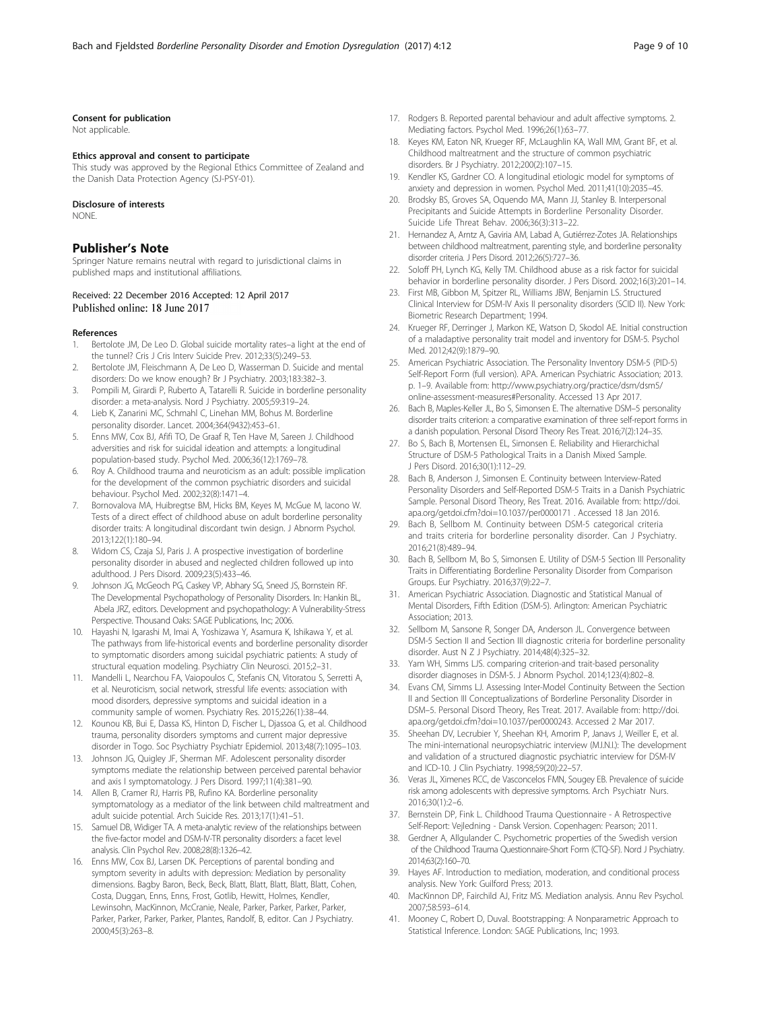#### <span id="page-8-0"></span>Consent for publication

Not applicable.

#### Ethics approval and consent to participate

This study was approved by the Regional Ethics Committee of Zealand and the Danish Data Protection Agency (SJ-PSY-01).

#### Disclosure of interests

**NONE** 

#### Publisher's Note

Springer Nature remains neutral with regard to jurisdictional claims in published maps and institutional affiliations.

#### Received: 22 December 2016 Accepted: 12 April 2017 Published online: 18 June 2017

#### References

- 1. Bertolote JM, De Leo D. Global suicide mortality rates–a light at the end of the tunnel? Cris J Cris Interv Suicide Prev. 2012;33(5):249–53.
- 2. Bertolote JM, Fleischmann A, De Leo D, Wasserman D. Suicide and mental disorders: Do we know enough? Br J Psychiatry. 2003;183:382–3.
- 3. Pompili M, Girardi P, Ruberto A, Tatarelli R. Suicide in borderline personality disorder: a meta-analysis. Nord J Psychiatry. 2005;59:319–24.
- 4. Lieb K, Zanarini MC, Schmahl C, Linehan MM, Bohus M. Borderline personality disorder. Lancet. 2004;364(9432):453–61.
- 5. Enns MW, Cox BJ, Afifi TO, De Graaf R, Ten Have M, Sareen J. Childhood adversities and risk for suicidal ideation and attempts: a longitudinal population-based study. Psychol Med. 2006;36(12):1769–78.
- Roy A. Childhood trauma and neuroticism as an adult: possible implication for the development of the common psychiatric disorders and suicidal behaviour. Psychol Med. 2002;32(8):1471–4.
- 7. Bornovalova MA, Huibregtse BM, Hicks BM, Keyes M, McGue M, Iacono W. Tests of a direct effect of childhood abuse on adult borderline personality disorder traits: A longitudinal discordant twin design. J Abnorm Psychol. 2013;122(1):180–94.
- 8. Widom CS, Czaja SJ, Paris J. A prospective investigation of borderline personality disorder in abused and neglected children followed up into adulthood. J Pers Disord. 2009;23(5):433–46.
- Johnson JG, McGeoch PG, Caskey VP, Abhary SG, Sneed JS, Bornstein RF. The Developmental Psychopathology of Personality Disorders. In: Hankin BL, Abela JRZ, editors. Development and psychopathology: A Vulnerability-Stress Perspective. Thousand Oaks: SAGE Publications, Inc; 2006.
- 10. Hayashi N, Igarashi M, Imai A, Yoshizawa Y, Asamura K, Ishikawa Y, et al. The pathways from life-historical events and borderline personality disorder to symptomatic disorders among suicidal psychiatric patients: A study of structural equation modeling. Psychiatry Clin Neurosci. 2015;2–31.
- 11. Mandelli L, Nearchou FA, Vaiopoulos C, Stefanis CN, Vitoratou S, Serretti A, et al. Neuroticism, social network, stressful life events: association with mood disorders, depressive symptoms and suicidal ideation in a community sample of women. Psychiatry Res. 2015;226(1):38–44.
- 12. Kounou KB, Bui E, Dassa KS, Hinton D, Fischer L, Djassoa G, et al. Childhood trauma, personality disorders symptoms and current major depressive disorder in Togo. Soc Psychiatry Psychiatr Epidemiol. 2013;48(7):1095–103.
- 13. Johnson JG, Quigley JF, Sherman MF. Adolescent personality disorder symptoms mediate the relationship between perceived parental behavior and axis I symptomatology. J Pers Disord. 1997;11(4):381–90.
- 14. Allen B, Cramer RJ, Harris PB, Rufino KA. Borderline personality symptomatology as a mediator of the link between child maltreatment and adult suicide potential. Arch Suicide Res. 2013;17(1):41–51.
- 15. Samuel DB, Widiger TA. A meta-analytic review of the relationships between the five-factor model and DSM-IV-TR personality disorders: a facet level analysis. Clin Psychol Rev. 2008;28(8):1326–42.
- 16. Enns MW, Cox BJ, Larsen DK. Perceptions of parental bonding and symptom severity in adults with depression: Mediation by personality dimensions. Bagby Baron, Beck, Beck, Blatt, Blatt, Blatt, Blatt, Blatt, Cohen, Costa, Duggan, Enns, Enns, Frost, Gotlib, Hewitt, Holmes, Kendler, Lewinsohn, MacKinnon, McCranie, Neale, Parker, Parker, Parker, Parker, Parker, Parker, Parker, Parker, Plantes, Randolf, B, editor. Can J Psychiatry. 2000;45(3):263–8.
- 17. Rodgers B. Reported parental behaviour and adult affective symptoms. 2. Mediating factors. Psychol Med. 1996;26(1):63–77.
- 18. Keyes KM, Eaton NR, Krueger RF, McLaughlin KA, Wall MM, Grant BF, et al. Childhood maltreatment and the structure of common psychiatric disorders. Br J Psychiatry. 2012;200(2):107–15.
- 19. Kendler KS, Gardner CO. A longitudinal etiologic model for symptoms of anxiety and depression in women. Psychol Med. 2011;41(10):2035–45.
- 20. Brodsky BS, Groves SA, Oquendo MA, Mann JJ, Stanley B. Interpersonal Precipitants and Suicide Attempts in Borderline Personality Disorder. Suicide Life Threat Behav. 2006;36(3):313–22.
- 21. Hernandez A, Arntz A, Gaviria AM, Labad A, Gutiérrez-Zotes JA. Relationships between childhood maltreatment, parenting style, and borderline personality disorder criteria. J Pers Disord. 2012;26(5):727–36.
- 22. Soloff PH, Lynch KG, Kelly TM. Childhood abuse as a risk factor for suicidal behavior in borderline personality disorder. J Pers Disord. 2002;16(3):201–14.
- 23. First MB, Gibbon M, Spitzer RL, Williams JBW, Benjamin LS. Structured Clinical Interview for DSM-IV Axis II personality disorders (SCID II). New York: Biometric Research Department; 1994.
- 24. Krueger RF, Derringer J, Markon KE, Watson D, Skodol AE. Initial construction of a maladaptive personality trait model and inventory for DSM-5. Psychol Med. 2012;42(9):1879–90.
- 25. American Psychiatric Association. The Personality Inventory DSM-5 (PID-5) Self-Report Form (full version). APA. American Psychiatric Association; 2013. p. 1–9. Available from: [http://www.psychiatry.org/practice/dsm/dsm5/](http://www.psychiatry.org/practice/dsm/dsm5/online-assessment-measures#Personality) [online-assessment-measures#Personality](http://www.psychiatry.org/practice/dsm/dsm5/online-assessment-measures#Personality). Accessed 13 Apr 2017.
- 26. Bach B, Maples-Keller JL, Bo S, Simonsen E. The alternative DSM–5 personality disorder traits criterion: a comparative examination of three self-report forms in a danish population. Personal Disord Theory Res Treat. 2016;7(2):124–35.
- 27. Bo S, Bach B, Mortensen EL, Simonsen E. Reliability and Hierarchichal Structure of DSM-5 Pathological Traits in a Danish Mixed Sample. J Pers Disord. 2016;30(1):112–29.
- 28. Bach B, Anderson J, Simonsen E. Continuity between Interview-Rated Personality Disorders and Self-Reported DSM-5 Traits in a Danish Psychiatric Sample. Personal Disord Theory, Res Treat. 2016. Available from: [http://doi.](http://doi.apa.org/getdoi.cfm?doi=10.1037/per0000171) [apa.org/getdoi.cfm?doi=10.1037/per0000171](http://doi.apa.org/getdoi.cfm?doi=10.1037/per0000171) . Accessed 18 Jan 2016.
- 29. Bach B, Sellbom M. Continuity between DSM-5 categorical criteria and traits criteria for borderline personality disorder. Can J Psychiatry. 2016;21(8):489–94.
- 30. Bach B, Sellbom M, Bo S, Simonsen E. Utility of DSM-5 Section III Personality Traits in Differentiating Borderline Personality Disorder from Comparison Groups. Eur Psychiatry. 2016;37(9):22–7.
- 31. American Psychiatric Association. Diagnostic and Statistical Manual of Mental Disorders, Fifth Edition (DSM-5). Arlington: American Psychiatric Association; 2013.
- 32. Sellbom M, Sansone R, Songer DA, Anderson JL. Convergence between DSM-5 Section II and Section III diagnostic criteria for borderline personality disorder. Aust N Z J Psychiatry. 2014;48(4):325–32.
- 33. Yam WH, Simms LJS. comparing criterion-and trait-based personality disorder diagnoses in DSM-5. J Abnorm Psychol. 2014;123(4):802–8.
- 34. Evans CM, Simms LJ. Assessing Inter-Model Continuity Between the Section II and Section III Conceptualizations of Borderline Personality Disorder in DSM–5. Personal Disord Theory, Res Treat. 2017. Available from: [http://doi.](http://doi.apa.org/getdoi.cfm?doi=10.1037/per0000243) [apa.org/getdoi.cfm?doi=10.1037/per0000243](http://doi.apa.org/getdoi.cfm?doi=10.1037/per0000243). Accessed 2 Mar 2017.
- 35. Sheehan DV, Lecrubier Y, Sheehan KH, Amorim P, Janavs J, Weiller E, et al. The mini-international neuropsychiatric interview (M.I.N.I.): The development and validation of a structured diagnostic psychiatric interview for DSM-IV and ICD-10. J Clin Psychiatry. 1998;59(20):22–57.
- 36. Veras JL, Ximenes RCC, de Vasconcelos FMN, Sougey EB. Prevalence of suicide risk among adolescents with depressive symptoms. Arch Psychiatr Nurs. 2016;30(1):2–6.
- 37. Bernstein DP, Fink L. Childhood Trauma Questionnaire A Retrospective Self-Report: Vejledning - Dansk Version. Copenhagen: Pearson; 2011.
- 38. Gerdner A, Allgulander C. Psychometric properties of the Swedish version of the Childhood Trauma Questionnaire-Short Form (CTQ-SF). Nord J Psychiatry. 2014;63(2):160–70.
- 39. Hayes AF. Introduction to mediation, moderation, and conditional process analysis. New York: Guilford Press; 2013.
- 40. MacKinnon DP, Fairchild AJ, Fritz MS. Mediation analysis. Annu Rev Psychol. 2007;58:593–614.
- 41. Mooney C, Robert D, Duval. Bootstrapping: A Nonparametric Approach to Statistical Inference. London: SAGE Publications, Inc; 1993.